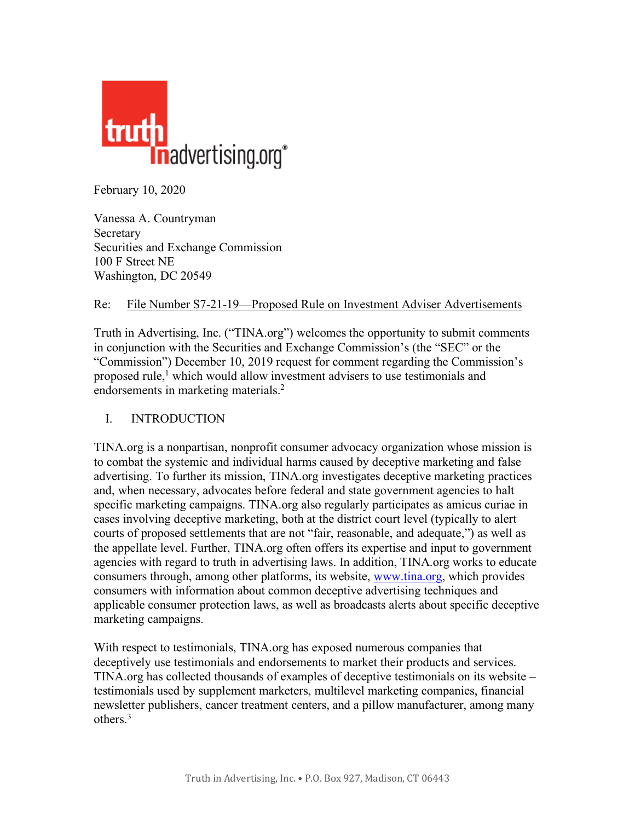

February 10, 2020

Vanessa A. Countryman Secretary Securities and Exchange Commission 100 F Street NE Washington, DC 20549

## Re: File Number S7-21-19—Proposed Rule on Investment Adviser Advertisements

Truth in Advertising, Inc. ("TINA.org") welcomes the opportunity to submit comments in conjunction with the Securities and Exchange Commission's (the "SEC" or the "Commission") December 10, 2019 request for comment regarding the Commission's proposed rule,<sup>1</sup> which would allow investment advisers to use testimonials and endorsements in marketing materials. 2

## I. INTRODUCTION

TINA.org is a nonpartisan, nonprofit consumer advocacy organization whose mission is to combat the systemic and individual harms caused by deceptive marketing and false advertising. To further its mission, TINA.org investigates deceptive marketing practices and, when necessary, advocates before federal and state government agencies to halt specific marketing campaigns. TINA.org also regularly participates as amicus curiae in cases involving deceptive marketing, both at the district court level (typically to alert courts of proposed settlements that are not "fair, reasonable, and adequate,") as well as the appellate level. Further, TINA.org often offers its expertise and input to government agencies with regard to truth in advertising laws. In addition, TINA.org works to educate consumers through, among other platforms, its website, www.tina.org, which provides consumers with information about common deceptive advertising techniques and applicable consumer protection laws, as well as broadcasts alerts about specific deceptive marketing campaigns.

With respect to testimonials, TINA.org has exposed numerous companies that deceptively use testimonials and endorsements to market their products and services. TINA.org has collected thousands of examples of deceptive testimonials on its website – testimonials used by supplement marketers, multilevel marketing companies, financial newsletter publishers, cancer treatment centers, and a pillow manufacturer, among many others. 3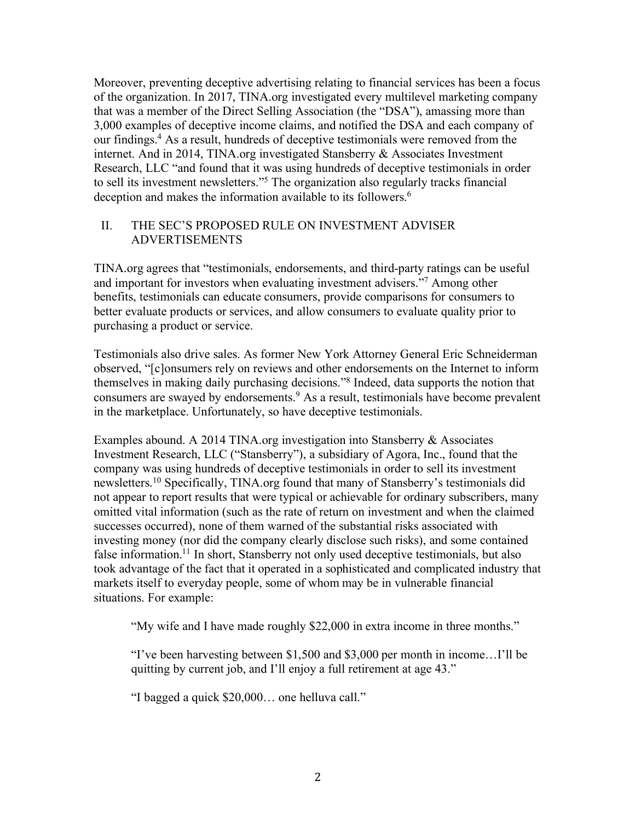Moreover, preventing deceptive advertising relating to financial services has been a focus of the organization. In 2017, TINA.org investigated every multilevel marketing company that was a member of the Direct Selling Association (the "DSA"), amassing more than 3,000 examples of deceptive income claims, and notified the DSA and each company of our findings. <sup>4</sup> As a result, hundreds of deceptive testimonials were removed from the internet. And in 2014, TINA.org investigated Stansberry & Associates Investment Research, LLC "and found that it was using hundreds of deceptive testimonials in order to sell its investment newsletters."5 The organization also regularly tracks financial deception and makes the information available to its followers.<sup>6</sup>

## II. THE SEC'S PROPOSED RULE ON INVESTMENT ADVISER ADVERTISEMENTS

TINA.org agrees that "testimonials, endorsements, and third-party ratings can be useful and important for investors when evaluating investment advisers."7 Among other benefits, testimonials can educate consumers, provide comparisons for consumers to better evaluate products or services, and allow consumers to evaluate quality prior to purchasing a product or service.

Testimonials also drive sales. As former New York Attorney General Eric Schneiderman observed, "[c]onsumers rely on reviews and other endorsements on the Internet to inform themselves in making daily purchasing decisions."8 Indeed, data supports the notion that consumers are swayed by endorsements.<sup>9</sup> As a result, testimonials have become prevalent in the marketplace. Unfortunately, so have deceptive testimonials.

Examples abound. A 2014 TINA.org investigation into Stansberry & Associates Investment Research, LLC ("Stansberry"), a subsidiary of Agora, Inc., found that the company was using hundreds of deceptive testimonials in order to sell its investment newsletters.10 Specifically, TINA.org found that many of Stansberry's testimonials did not appear to report results that were typical or achievable for ordinary subscribers, many omitted vital information (such as the rate of return on investment and when the claimed successes occurred), none of them warned of the substantial risks associated with investing money (nor did the company clearly disclose such risks), and some contained false information.<sup>11</sup> In short, Stansberry not only used deceptive testimonials, but also took advantage of the fact that it operated in a sophisticated and complicated industry that markets itself to everyday people, some of whom may be in vulnerable financial situations. For example:

"My wife and I have made roughly \$22,000 in extra income in three months."

"I've been harvesting between \$1,500 and \$3,000 per month in income…I'll be quitting by current job, and I'll enjoy a full retirement at age 43."

"I bagged a quick \$20,000… one helluva call."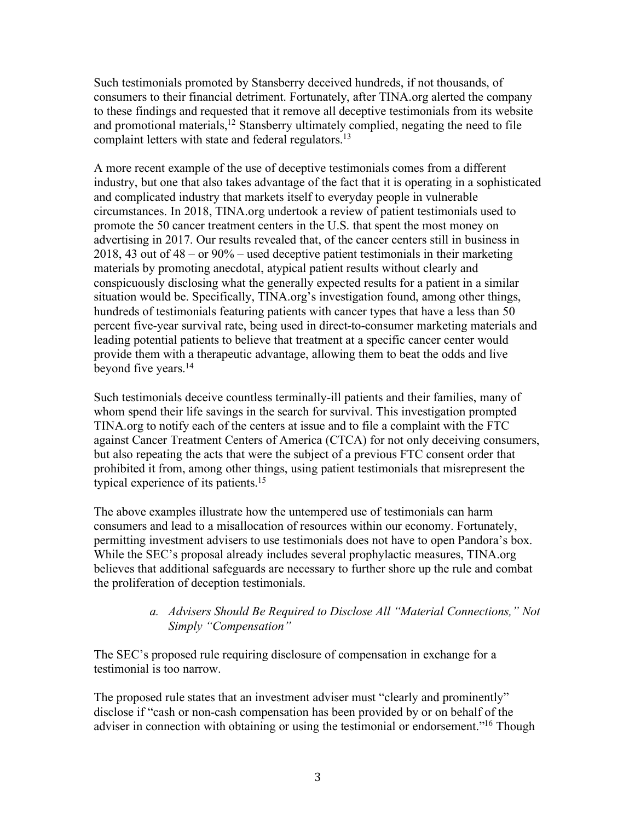Such testimonials promoted by Stansberry deceived hundreds, if not thousands, of consumers to their financial detriment. Fortunately, after TINA.org alerted the company to these findings and requested that it remove all deceptive testimonials from its website and promotional materials,<sup>12</sup> Stansberry ultimately complied, negating the need to file complaint letters with state and federal regulators.<sup>13</sup>

A more recent example of the use of deceptive testimonials comes from a different industry, but one that also takes advantage of the fact that it is operating in a sophisticated and complicated industry that markets itself to everyday people in vulnerable circumstances. In 2018, TINA.org undertook a review of patient testimonials used to promote the 50 cancer treatment centers in the U.S. that spent the most money on advertising in 2017. Our results revealed that, of the cancer centers still in business in 2018, 43 out of 48 – or 90% – used deceptive patient testimonials in their marketing materials by promoting anecdotal, atypical patient results without clearly and conspicuously disclosing what the generally expected results for a patient in a similar situation would be. Specifically, TINA.org's investigation found, among other things, hundreds of testimonials featuring patients with cancer types that have a less than 50 percent five-year survival rate, being used in direct-to-consumer marketing materials and leading potential patients to believe that treatment at a specific cancer center would provide them with a therapeutic advantage, allowing them to beat the odds and live beyond five years.<sup>14</sup>

Such testimonials deceive countless terminally-ill patients and their families, many of whom spend their life savings in the search for survival. This investigation prompted TINA.org to notify each of the centers at issue and to file a complaint with the FTC against Cancer Treatment Centers of America (CTCA) for not only deceiving consumers, but also repeating the acts that were the subject of a previous FTC consent order that prohibited it from, among other things, using patient testimonials that misrepresent the typical experience of its patients.15

The above examples illustrate how the untempered use of testimonials can harm consumers and lead to a misallocation of resources within our economy. Fortunately, permitting investment advisers to use testimonials does not have to open Pandora's box. While the SEC's proposal already includes several prophylactic measures, TINA.org believes that additional safeguards are necessary to further shore up the rule and combat the proliferation of deception testimonials.

## *a. Advisers Should Be Required to Disclose All "Material Connections," Not Simply "Compensation"*

The SEC's proposed rule requiring disclosure of compensation in exchange for a testimonial is too narrow.

The proposed rule states that an investment adviser must "clearly and prominently" disclose if "cash or non-cash compensation has been provided by or on behalf of the adviser in connection with obtaining or using the testimonial or endorsement."16 Though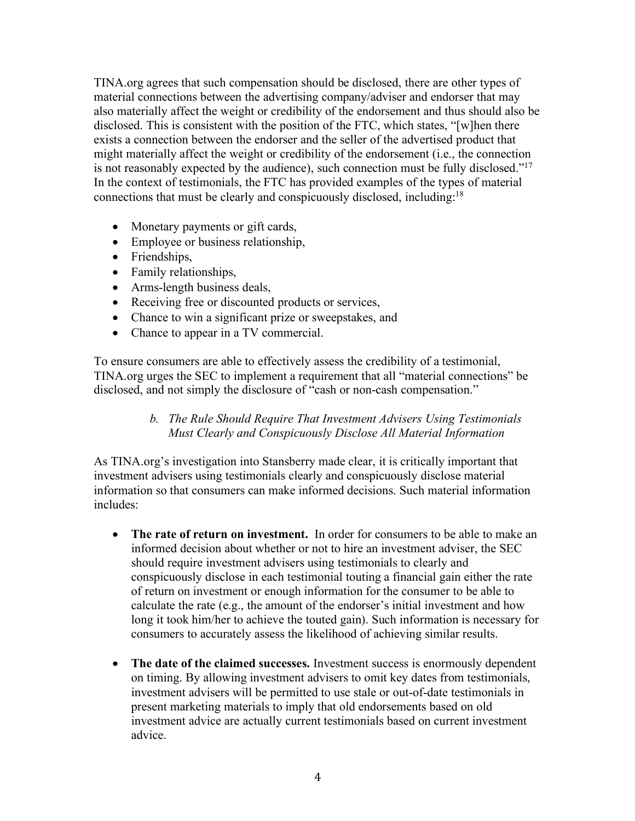TINA.org agrees that such compensation should be disclosed, there are other types of material connections between the advertising company/adviser and endorser that may also materially affect the weight or credibility of the endorsement and thus should also be disclosed. This is consistent with the position of the FTC, which states, "[w]hen there exists a connection between the endorser and the seller of the advertised product that might materially affect the weight or credibility of the endorsement (i.e., the connection is not reasonably expected by the audience), such connection must be fully disclosed."17 In the context of testimonials, the FTC has provided examples of the types of material connections that must be clearly and conspicuously disclosed, including: 18

- Monetary payments or gift cards,
- Employee or business relationship,
- Friendships,
- Family relationships,
- Arms-length business deals,
- Receiving free or discounted products or services,
- Chance to win a significant prize or sweepstakes, and
- Chance to appear in a TV commercial.

To ensure consumers are able to effectively assess the credibility of a testimonial, TINA.org urges the SEC to implement a requirement that all "material connections" be disclosed, and not simply the disclosure of "cash or non-cash compensation."

#### *b. The Rule Should Require That Investment Advisers Using Testimonials Must Clearly and Conspicuously Disclose All Material Information*

As TINA.org's investigation into Stansberry made clear, it is critically important that investment advisers using testimonials clearly and conspicuously disclose material information so that consumers can make informed decisions. Such material information includes:

- **The rate of return on investment.** In order for consumers to be able to make an informed decision about whether or not to hire an investment adviser, the SEC should require investment advisers using testimonials to clearly and conspicuously disclose in each testimonial touting a financial gain either the rate of return on investment or enough information for the consumer to be able to calculate the rate (e.g., the amount of the endorser's initial investment and how long it took him/her to achieve the touted gain). Such information is necessary for consumers to accurately assess the likelihood of achieving similar results.
- **The date of the claimed successes.** Investment success is enormously dependent on timing. By allowing investment advisers to omit key dates from testimonials, investment advisers will be permitted to use stale or out-of-date testimonials in present marketing materials to imply that old endorsements based on old investment advice are actually current testimonials based on current investment advice.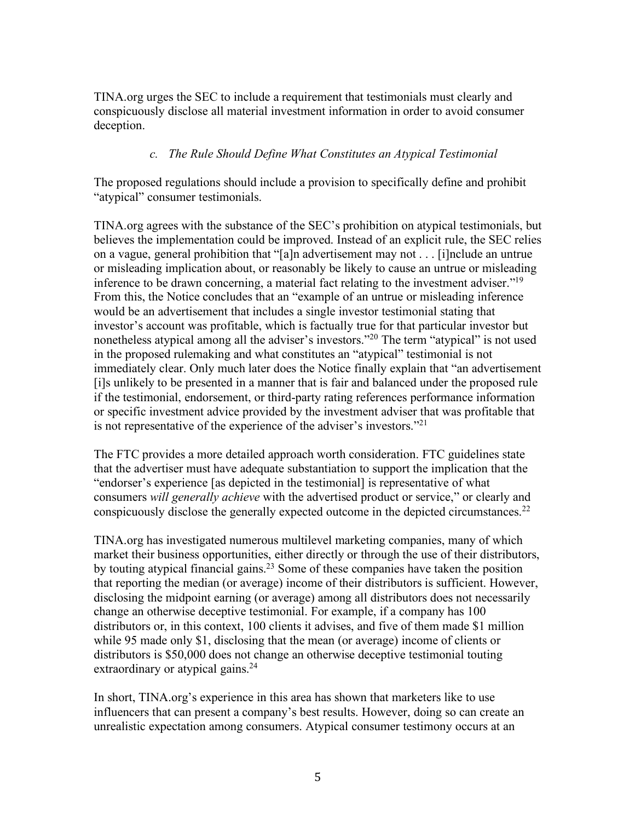TINA.org urges the SEC to include a requirement that testimonials must clearly and conspicuously disclose all material investment information in order to avoid consumer deception.

## *c. The Rule Should Define What Constitutes an Atypical Testimonial*

The proposed regulations should include a provision to specifically define and prohibit "atypical" consumer testimonials.

TINA.org agrees with the substance of the SEC's prohibition on atypical testimonials, but believes the implementation could be improved. Instead of an explicit rule, the SEC relies on a vague, general prohibition that "[a]n advertisement may not . . . [i]nclude an untrue or misleading implication about, or reasonably be likely to cause an untrue or misleading inference to be drawn concerning, a material fact relating to the investment adviser.<sup>"19</sup> From this, the Notice concludes that an "example of an untrue or misleading inference would be an advertisement that includes a single investor testimonial stating that investor's account was profitable, which is factually true for that particular investor but nonetheless atypical among all the adviser's investors."<sup>20</sup> The term "atypical" is not used in the proposed rulemaking and what constitutes an "atypical" testimonial is not immediately clear. Only much later does the Notice finally explain that "an advertisement [i]s unlikely to be presented in a manner that is fair and balanced under the proposed rule if the testimonial, endorsement, or third-party rating references performance information or specific investment advice provided by the investment adviser that was profitable that is not representative of the experience of the adviser's investors."21

The FTC provides a more detailed approach worth consideration. FTC guidelines state that the advertiser must have adequate substantiation to support the implication that the "endorser's experience [as depicted in the testimonial] is representative of what consumers *will generally achieve* with the advertised product or service," or clearly and conspicuously disclose the generally expected outcome in the depicted circumstances.<sup>22</sup>

TINA.org has investigated numerous multilevel marketing companies, many of which market their business opportunities, either directly or through the use of their distributors, by touting atypical financial gains.<sup>23</sup> Some of these companies have taken the position that reporting the median (or average) income of their distributors is sufficient. However, disclosing the midpoint earning (or average) among all distributors does not necessarily change an otherwise deceptive testimonial. For example, if a company has 100 distributors or, in this context, 100 clients it advises, and five of them made \$1 million while 95 made only \$1, disclosing that the mean (or average) income of clients or distributors is \$50,000 does not change an otherwise deceptive testimonial touting extraordinary or atypical gains.<sup>24</sup>

In short, TINA.org's experience in this area has shown that marketers like to use influencers that can present a company's best results. However, doing so can create an unrealistic expectation among consumers. Atypical consumer testimony occurs at an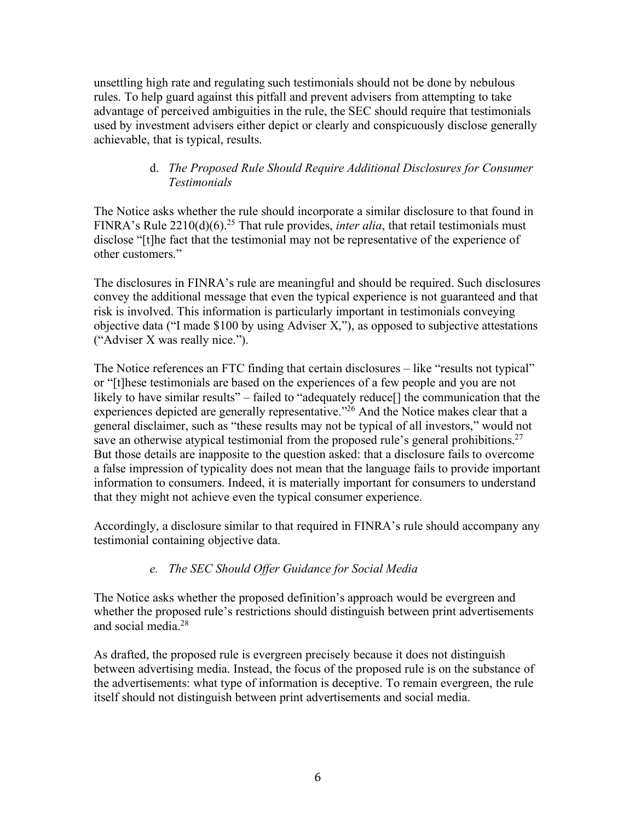unsettling high rate and regulating such testimonials should not be done by nebulous rules. To help guard against this pitfall and prevent advisers from attempting to take advantage of perceived ambiguities in the rule, the SEC should require that testimonials used by investment advisers either depict or clearly and conspicuously disclose generally achievable, that is typical, results.

### d. *The Proposed Rule Should Require Additional Disclosures for Consumer Testimonials*

The Notice asks whether the rule should incorporate a similar disclosure to that found in FINRA's Rule 2210(d)(6).<sup>25</sup> That rule provides, *inter alia*, that retail testimonials must disclose "[t]he fact that the testimonial may not be representative of the experience of other customers."

The disclosures in FINRA's rule are meaningful and should be required. Such disclosures convey the additional message that even the typical experience is not guaranteed and that risk is involved. This information is particularly important in testimonials conveying objective data ("I made \$100 by using Adviser X,"), as opposed to subjective attestations ("Adviser X was really nice.").

The Notice references an FTC finding that certain disclosures – like "results not typical" or "[t]hese testimonials are based on the experiences of a few people and you are not likely to have similar results" – failed to "adequately reduce[] the communication that the experiences depicted are generally representative.<sup>"26</sup> And the Notice makes clear that a general disclaimer, such as "these results may not be typical of all investors," would not save an otherwise atypical testimonial from the proposed rule's general prohibitions.<sup>27</sup> But those details are inapposite to the question asked: that a disclosure fails to overcome a false impression of typicality does not mean that the language fails to provide important information to consumers. Indeed, it is materially important for consumers to understand that they might not achieve even the typical consumer experience.

Accordingly, a disclosure similar to that required in FINRA's rule should accompany any testimonial containing objective data.

## *e. The SEC Should Offer Guidance for Social Media*

The Notice asks whether the proposed definition's approach would be evergreen and whether the proposed rule's restrictions should distinguish between print advertisements and social media.28

As drafted, the proposed rule is evergreen precisely because it does not distinguish between advertising media. Instead, the focus of the proposed rule is on the substance of the advertisements: what type of information is deceptive. To remain evergreen, the rule itself should not distinguish between print advertisements and social media.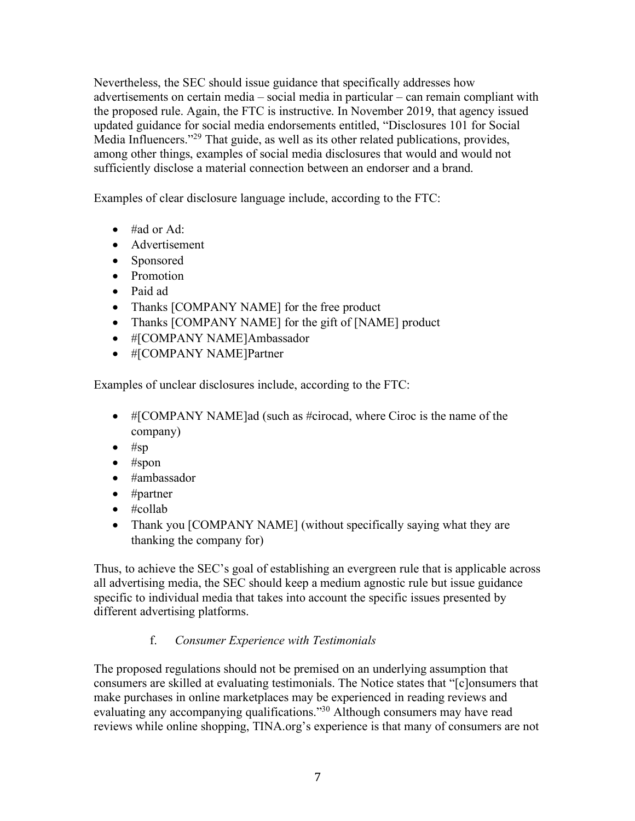Nevertheless, the SEC should issue guidance that specifically addresses how advertisements on certain media – social media in particular – can remain compliant with the proposed rule. Again, the FTC is instructive. In November 2019, that agency issued updated guidance for social media endorsements entitled, "Disclosures 101 for Social Media Influencers."<sup>29</sup> That guide, as well as its other related publications, provides, among other things, examples of social media disclosures that would and would not sufficiently disclose a material connection between an endorser and a brand.

Examples of clear disclosure language include, according to the FTC:

- #ad or Ad:
- Advertisement
- Sponsored
- Promotion
- Paid ad
- Thanks [COMPANY NAME] for the free product
- Thanks [COMPANY NAME] for the gift of [NAME] product
- #[COMPANY NAME]Ambassador
- #[COMPANY NAME]Partner

Examples of unclear disclosures include, according to the FTC:

- #[COMPANY NAME]ad (such as #cirocad, where Ciroc is the name of the company)
- $•$  #sp
- $•$  #spon
- #ambassador
- #partner
- #collab
- Thank you [COMPANY NAME] (without specifically saying what they are thanking the company for)

Thus, to achieve the SEC's goal of establishing an evergreen rule that is applicable across all advertising media, the SEC should keep a medium agnostic rule but issue guidance specific to individual media that takes into account the specific issues presented by different advertising platforms.

# f. *Consumer Experience with Testimonials*

The proposed regulations should not be premised on an underlying assumption that consumers are skilled at evaluating testimonials. The Notice states that "[c]onsumers that make purchases in online marketplaces may be experienced in reading reviews and evaluating any accompanying qualifications."<sup>30</sup> Although consumers may have read reviews while online shopping, TINA.org's experience is that many of consumers are not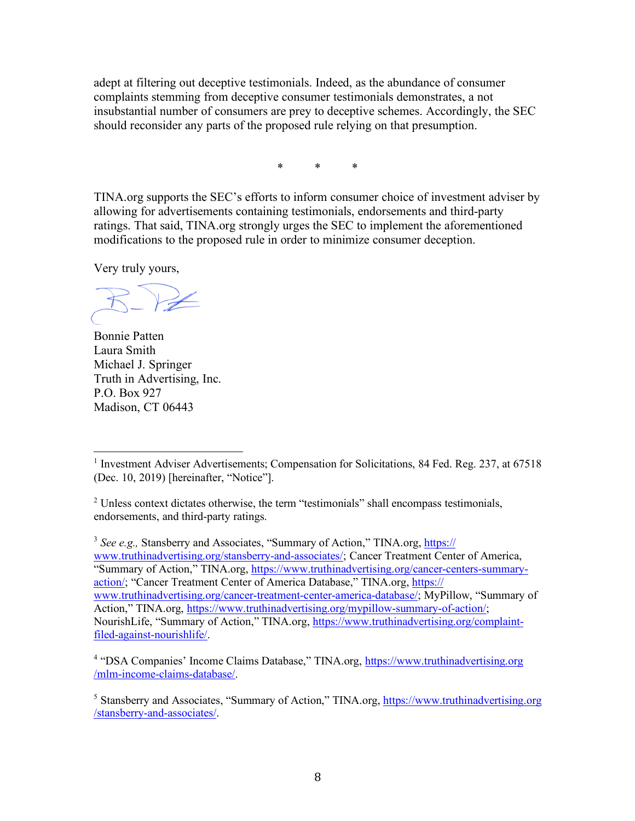adept at filtering out deceptive testimonials. Indeed, as the abundance of consumer complaints stemming from deceptive consumer testimonials demonstrates, a not insubstantial number of consumers are prey to deceptive schemes. Accordingly, the SEC should reconsider any parts of the proposed rule relying on that presumption.

\* \* \*

TINA.org supports the SEC's efforts to inform consumer choice of investment adviser by allowing for advertisements containing testimonials, endorsements and third-party ratings. That said, TINA.org strongly urges the SEC to implement the aforementioned modifications to the proposed rule in order to minimize consumer deception.

Very truly yours,

 $\overline{a}$ 

Bonnie Patten Laura Smith Michael J. Springer Truth in Advertising, Inc. P.O. Box 927 Madison, CT 06443

<sup>3</sup> See e.g., Stansberry and Associates, "Summary of Action," TINA.org, https:// www.truthinadvertising.org/stansberry-and-associates/; Cancer Treatment Center of America, "Summary of Action," TINA.org, https://www.truthinadvertising.org/cancer-centers-summaryaction/; "Cancer Treatment Center of America Database," TINA.org, https:// www.truthinadvertising.org/cancer-treatment-center-america-database/; MyPillow, "Summary of Action," TINA.org, https://www.truthinadvertising.org/mypillow-summary-of-action/; NourishLife, "Summary of Action," TINA.org, https://www.truthinadvertising.org/complaintfiled-against-nourishlife/.

<sup>&</sup>lt;sup>1</sup> Investment Adviser Advertisements; Compensation for Solicitations, 84 Fed. Reg. 237, at 67518 (Dec. 10, 2019) [hereinafter, "Notice"].

 $2^2$  Unless context dictates otherwise, the term "testimonials" shall encompass testimonials, endorsements, and third-party ratings.

<sup>&</sup>lt;sup>4</sup> "DSA Companies' Income Claims Database," TINA.org, https://www.truthinadvertising.org /mlm-income-claims-database/.

<sup>&</sup>lt;sup>5</sup> Stansberry and Associates, "Summary of Action," TINA.org, https://www.truthinadvertising.org /stansberry-and-associates/.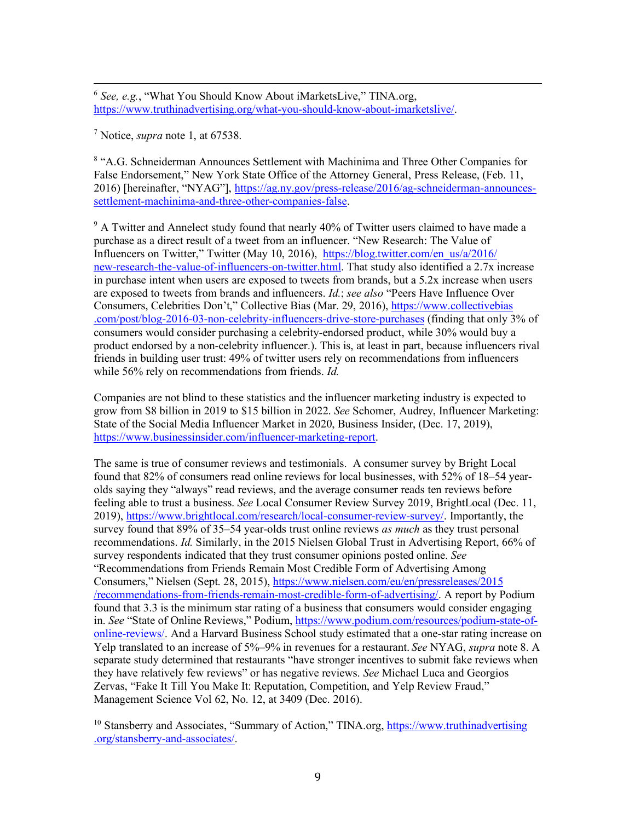6 *See, e.g.*, "What You Should Know About iMarketsLive," TINA.org, https://www.truthinadvertising.org/what-you-should-know-about-imarketslive/.

<sup>7</sup> Notice, *supra* note 1, at 67538.

<sup>8</sup> "A.G. Schneiderman Announces Settlement with Machinima and Three Other Companies for False Endorsement," New York State Office of the Attorney General, Press Release, (Feb. 11, 2016) [hereinafter, "NYAG"], https://ag.ny.gov/press-release/2016/ag-schneiderman-announcessettlement-machinima-and-three-other-companies-false.

 $9<sup>9</sup>$  A Twitter and Annelect study found that nearly 40% of Twitter users claimed to have made a purchase as a direct result of a tweet from an influencer. "New Research: The Value of Influencers on Twitter," Twitter (May 10, 2016), https://blog.twitter.com/en\_us/a/2016/ new-research-the-value-of-influencers-on-twitter.html. That study also identified a 2.7x increase in purchase intent when users are exposed to tweets from brands, but a 5.2x increase when users are exposed to tweets from brands and influencers. *Id.*; *see also* "Peers Have Influence Over Consumers, Celebrities Don't," Collective Bias (Mar. 29, 2016), https://www.collectivebias .com/post/blog-2016-03-non-celebrity-influencers-drive-store-purchases (finding that only 3% of consumers would consider purchasing a celebrity-endorsed product, while 30% would buy a product endorsed by a non-celebrity influencer.). This is, at least in part, because influencers rival friends in building user trust: 49% of twitter users rely on recommendations from influencers while 56% rely on recommendations from friends. *Id.*

Companies are not blind to these statistics and the influencer marketing industry is expected to grow from \$8 billion in 2019 to \$15 billion in 2022. *See* Schomer, Audrey, Influencer Marketing: State of the Social Media Influencer Market in 2020, Business Insider, (Dec. 17, 2019), https://www.businessinsider.com/influencer-marketing-report.

The same is true of consumer reviews and testimonials. A consumer survey by Bright Local found that 82% of consumers read online reviews for local businesses, with 52% of 18–54 yearolds saying they "always" read reviews, and the average consumer reads ten reviews before feeling able to trust a business. *See* Local Consumer Review Survey 2019, BrightLocal (Dec. 11, 2019), https://www.brightlocal.com/research/local-consumer-review-survey/. Importantly, the survey found that 89% of 35–54 year-olds trust online reviews *as much* as they trust personal recommendations. *Id.* Similarly, in the 2015 Nielsen Global Trust in Advertising Report, 66% of survey respondents indicated that they trust consumer opinions posted online. *See* "Recommendations from Friends Remain Most Credible Form of Advertising Among Consumers," Nielsen (Sept. 28, 2015), https://www.nielsen.com/eu/en/pressreleases/2015 /recommendations-from-friends-remain-most-credible-form-of-advertising/. A report by Podium found that 3.3 is the minimum star rating of a business that consumers would consider engaging in. *See* "State of Online Reviews," Podium, https://www.podium.com/resources/podium-state-ofonline-reviews/. And a Harvard Business School study estimated that a one-star rating increase on Yelp translated to an increase of 5%–9% in revenues for a restaurant. *See* NYAG, *supra* note 8. A separate study determined that restaurants "have stronger incentives to submit fake reviews when they have relatively few reviews" or has negative reviews. *See* Michael Luca and Georgios Zervas, "Fake It Till You Make It: Reputation, Competition, and Yelp Review Fraud," Management Science Vol 62, No. 12, at 3409 (Dec. 2016).

<sup>&</sup>lt;sup>10</sup> Stansberry and Associates, "Summary of Action," TINA.org, https://www.truthinadvertising .org/stansberry-and-associates/.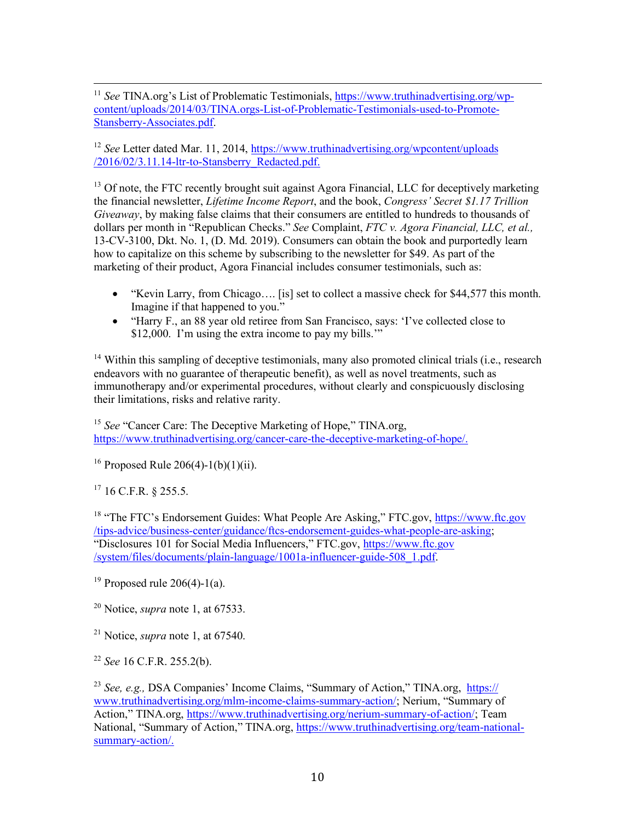<sup>11</sup> *See* TINA.org's List of Problematic Testimonials, https://www.truthinadvertising.org/wpcontent/uploads/2014/03/TINA.orgs-List-of-Problematic-Testimonials-used-to-Promote-Stansberry-Associates.pdf.

<sup>12</sup> *See* Letter dated Mar. 11, 2014, https://www.truthinadvertising.org/wpcontent/uploads /2016/02/3.11.14-ltr-to-Stansberry\_Redacted.pdf.

<sup>13</sup> Of note, the FTC recently brought suit against Agora Financial, LLC for deceptively marketing the financial newsletter, *Lifetime Income Report*, and the book, *Congress' Secret \$1.17 Trillion Giveaway*, by making false claims that their consumers are entitled to hundreds to thousands of dollars per month in "Republican Checks." *See* Complaint, *FTC v. Agora Financial, LLC, et al.,*  13-CV-3100, Dkt. No. 1, (D. Md. 2019). Consumers can obtain the book and purportedly learn how to capitalize on this scheme by subscribing to the newsletter for \$49. As part of the marketing of their product, Agora Financial includes consumer testimonials, such as:

- "Kevin Larry, from Chicago…. [is] set to collect a massive check for \$44,577 this month. Imagine if that happened to you."
- "Harry F., an 88 year old retiree from San Francisco, says: 'I've collected close to \$12,000. I'm using the extra income to pay my bills."

<sup>14</sup> Within this sampling of deceptive testimonials, many also promoted clinical trials (i.e., research endeavors with no guarantee of therapeutic benefit), as well as novel treatments, such as immunotherapy and/or experimental procedures, without clearly and conspicuously disclosing their limitations, risks and relative rarity.

<sup>15</sup> *See* "Cancer Care: The Deceptive Marketing of Hope," TINA.org, https://www.truthinadvertising.org/cancer-care-the-deceptive-marketing-of-hope/.

<sup>16</sup> Proposed Rule 206(4)-1(b)(1)(ii).

 $17$  16 C.F.R. § 255.5.

<sup>18</sup> "The FTC's Endorsement Guides: What People Are Asking," FTC.gov, https://www.ftc.gov /tips-advice/business-center/guidance/ftcs-endorsement-guides-what-people-are-asking; "Disclosures 101 for Social Media Influencers," FTC.gov, https://www.ftc.gov /system/files/documents/plain-language/1001a-influencer-guide-508\_1.pdf.

<sup>19</sup> Proposed rule 206(4)-1(a).

<sup>20</sup> Notice, *supra* note 1, at 67533.

<sup>21</sup> Notice, *supra* note 1, at 67540.

<sup>22</sup> *See* 16 C.F.R. 255.2(b).

<sup>23</sup> *See, e.g.,* DSA Companies' Income Claims, "Summary of Action," TINA.org, https:// www.truthinadvertising.org/mlm-income-claims-summary-action/; Nerium, "Summary of Action," TINA.org, https://www.truthinadvertising.org/nerium-summary-of-action/; Team National, "Summary of Action," TINA.org, https://www.truthinadvertising.org/team-nationalsummary-action/.